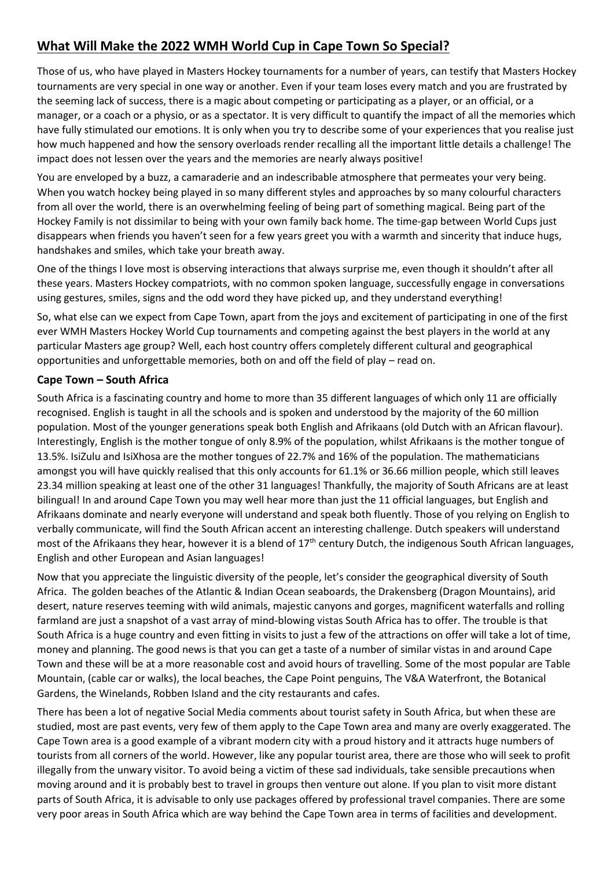## **What Will Make the 2022 WMH World Cup in Cape Town So Special?**

Those of us, who have played in Masters Hockey tournaments for a number of years, can testify that Masters Hockey tournaments are very special in one way or another. Even if your team loses every match and you are frustrated by the seeming lack of success, there is a magic about competing or participating as a player, or an official, or a manager, or a coach or a physio, or as a spectator. It is very difficult to quantify the impact of all the memories which have fully stimulated our emotions. It is only when you try to describe some of your experiences that you realise just how much happened and how the sensory overloads render recalling all the important little details a challenge! The impact does not lessen over the years and the memories are nearly always positive!

You are enveloped by a buzz, a camaraderie and an indescribable atmosphere that permeates your very being. When you watch hockey being played in so many different styles and approaches by so many colourful characters from all over the world, there is an overwhelming feeling of being part of something magical. Being part of the Hockey Family is not dissimilar to being with your own family back home. The time-gap between World Cups just disappears when friends you haven't seen for a few years greet you with a warmth and sincerity that induce hugs, handshakes and smiles, which take your breath away.

One of the things I love most is observing interactions that always surprise me, even though it shouldn't after all these years. Masters Hockey compatriots, with no common spoken language, successfully engage in conversations using gestures, smiles, signs and the odd word they have picked up, and they understand everything!

So, what else can we expect from Cape Town, apart from the joys and excitement of participating in one of the first ever WMH Masters Hockey World Cup tournaments and competing against the best players in the world at any particular Masters age group? Well, each host country offers completely different cultural and geographical opportunities and unforgettable memories, both on and off the field of play – read on.

## **Cape Town – South Africa**

South Africa is a fascinating country and home to more than 35 different languages of which only 11 are officially recognised. English is taught in all the schools and is spoken and understood by the majority of the 60 million population. Most of the younger generations speak both English and Afrikaans (old Dutch with an African flavour). Interestingly, English is the mother tongue of only 8.9% of the population, whilst Afrikaans is the mother tongue of 13.5%. IsiZulu and IsiXhosa are the mother tongues of 22.7% and 16% of the population. The mathematicians amongst you will have quickly realised that this only accounts for 61.1% or 36.66 million people, which still leaves 23.34 million speaking at least one of the other 31 languages! Thankfully, the majority of South Africans are at least bilingual! In and around Cape Town you may well hear more than just the 11 official languages, but English and Afrikaans dominate and nearly everyone will understand and speak both fluently. Those of you relying on English to verbally communicate, will find the South African accent an interesting challenge. Dutch speakers will understand most of the Afrikaans they hear, however it is a blend of  $17<sup>th</sup>$  century Dutch, the indigenous South African languages, English and other European and Asian languages!

Now that you appreciate the linguistic diversity of the people, let's consider the geographical diversity of South Africa. The golden beaches of the Atlantic & Indian Ocean seaboards, the Drakensberg (Dragon Mountains), arid desert, nature reserves teeming with wild animals, majestic canyons and gorges, magnificent waterfalls and rolling farmland are just a snapshot of a vast array of mind-blowing vistas South Africa has to offer. The trouble is that South Africa is a huge country and even fitting in visits to just a few of the attractions on offer will take a lot of time, money and planning. The good news is that you can get a taste of a number of similar vistas in and around Cape Town and these will be at a more reasonable cost and avoid hours of travelling. Some of the most popular are Table Mountain, (cable car or walks), the local beaches, the Cape Point penguins, The V&A Waterfront, the Botanical Gardens, the Winelands, Robben Island and the city restaurants and cafes.

There has been a lot of negative Social Media comments about tourist safety in South Africa, but when these are studied, most are past events, very few of them apply to the Cape Town area and many are overly exaggerated. The Cape Town area is a good example of a vibrant modern city with a proud history and it attracts huge numbers of tourists from all corners of the world. However, like any popular tourist area, there are those who will seek to profit illegally from the unwary visitor. To avoid being a victim of these sad individuals, take sensible precautions when moving around and it is probably best to travel in groups then venture out alone. If you plan to visit more distant parts of South Africa, it is advisable to only use packages offered by professional travel companies. There are some very poor areas in South Africa which are way behind the Cape Town area in terms of facilities and development.